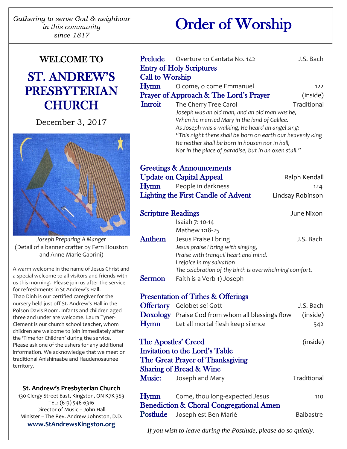*Gathering to serve God & neighbour in this community since 1817*

### WELCOME TO

## ST. ANDREW'S PRESBYTERIAN **CHURCH**

December 3, 2017



*Joseph Preparing A Manger* (Detail of a banner crafter by Fern Houston and Anne-Marie Gabrini)

A warm welcome in the name of Jesus Christ and a special welcome to all visitors and friends with us this morning. Please join us after the service for refreshments in St Andrew's Hall. Thao Dinh is our certified caregiver for the nursery held just off St. Andrew's Hall in the Polson Davis Room. Infants and children aged three and under are welcome. Laura Tyner-Clement is our church school teacher, whom children are welcome to join immediately after the 'Time for Children' during the service. Please ask one of the ushers for any additional information. We acknowledge that we meet on traditional Anishinaabe and Haudenosaunee territory.

#### **St. Andrew's Presbyterian Church**

130 Clergy Street East, Kingston, ON K7K 3S3 TEL: (613) 546-6316 Director of Music – John Hall Minister – The Rev. Andrew Johnston, D.D. **www.StAndrewsKingston.org**

 $\overline{a}$ 

# Order of Worship

|                                                     | Prelude Overture to Cantata No. 142                                                           | J.S. Bach        |
|-----------------------------------------------------|-----------------------------------------------------------------------------------------------|------------------|
|                                                     | <b>Entry of Holy Scriptures</b>                                                               |                  |
| <b>Call to Worship</b>                              |                                                                                               |                  |
| Hymn                                                | O come, o come Emmanuel                                                                       | 122              |
|                                                     | Prayer of Approach & The Lord's Prayer                                                        | (inside)         |
| Introit                                             | The Cherry Tree Carol                                                                         | Traditional      |
|                                                     | Joseph was an old man, and an old man was he,<br>When he married Mary in the land of Galilee. |                  |
|                                                     | As Joseph was a-walking, He heard an angel sing:                                              |                  |
|                                                     | "This night there shall be born on earth our heavenly king                                    |                  |
|                                                     | He neither shall be born in housen nor in hall,                                               |                  |
|                                                     | Nor in the place of paradise, but in an oxen stall."                                          |                  |
|                                                     | <b>Greetings &amp; Announcements</b>                                                          |                  |
|                                                     | <b>Update on Capital Appeal</b>                                                               | Ralph Kendall    |
| Hymn                                                | People in darkness                                                                            | 124              |
|                                                     | <b>Lighting the First Candle of Advent</b>                                                    | Lindsay Robinson |
|                                                     |                                                                                               |                  |
| <b>Scripture Readings</b>                           |                                                                                               | June Nixon       |
|                                                     | Isaiah 7: 10-14                                                                               |                  |
|                                                     | Mathew 1:18-25                                                                                |                  |
| Anthem                                              | Jesus Praise I bring                                                                          | J.S. Bach        |
|                                                     | Jesus praise I bring with singing,                                                            |                  |
|                                                     | Praise with tranquil heart and mind.                                                          |                  |
|                                                     | I rejoice in my salvation<br>The celebration of thy birth is overwhelming comfort.            |                  |
| Sermon                                              | Faith is a Verb 1) Joseph                                                                     |                  |
|                                                     |                                                                                               |                  |
|                                                     | <b>Presentation of Tithes &amp; Offerings</b>                                                 |                  |
|                                                     | <b>Offertory</b> Gelobet sei Gott                                                             | J.S. Bach        |
|                                                     | <b>Doxology</b> Praise God from whom all blessings flow                                       | (inside)         |
| Hymn                                                | Let all mortal flesh keep silence                                                             | 542              |
| <b>The Apostles' Creed</b>                          |                                                                                               | (inside)         |
|                                                     | Invitation to the Lord's Table                                                                |                  |
|                                                     | The Great Prayer of Thanksgiving                                                              |                  |
|                                                     | <b>Sharing of Bread &amp; Wine</b>                                                            |                  |
| <b>Music:</b>                                       | Joseph and Mary                                                                               | Traditional      |
|                                                     |                                                                                               |                  |
| <b>Hymn</b>                                         | Come, thou long-expected Jesus                                                                | 110              |
| <b>Benediction &amp; Choral Congregational Amen</b> |                                                                                               |                  |
| Postlude                                            | Joseph est Ben Marié                                                                          | Balbastre        |
|                                                     |                                                                                               |                  |

*If you wish to leave during the Postlude, please do so quietly.*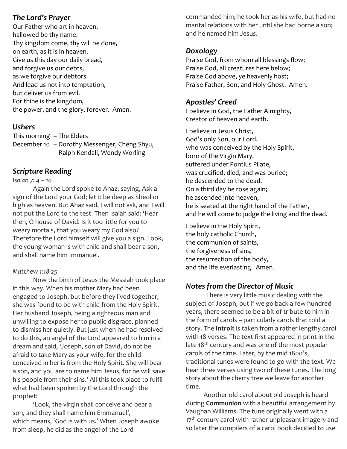#### *The Lord's Prayer*

Our Father who art in heaven, hallowed be thy name. Thy kingdom come, thy will be done, on earth, as it is in heaven. Give us this day our daily bread, and forgive us our debts, as we forgive our debtors. And lead us not into temptation, but deliver us from evil. For thine is the kingdom, the power, and the glory, forever. Amen.

#### *Ushers*

This morning – The Elders December 10 – Dorothy Messenger, Cheng Shyu, Ralph Kendall, Wendy Worling

#### *Scripture Reading*

#### *Isaiah 7: 4 – 10*

Again the Lord spoke to Ahaz, saying, Ask a sign of the Lord your God; let it be deep as Sheol or high as heaven. But Ahaz said, I will not ask, and I will not put the Lord to the test. Then Isaiah said: 'Hear then, O house of David! Is it too little for you to weary mortals, that you weary my God also? Therefore the Lord himself will give you a sign. Look, the young woman is with child and shall bear a son, and shall name him Immanuel.

#### *Matthew 1:18-25*

Now the birth of Jesus the Messiah took place in this way. When his mother Mary had been engaged to Joseph, but before they lived together, she was found to be with child from the Holy Spirit. Her husband Joseph, being a righteous man and unwilling to expose her to public disgrace, planned to dismiss her quietly. But just when he had resolved to do this, an angel of the Lord appeared to him in a dream and said, 'Joseph, son of David, do not be afraid to take Mary as your wife, for the child conceived in her is from the Holy Spirit. She will bear a son, and you are to name him Jesus, for he will save his people from their sins.' All this took place to fulfil what had been spoken by the Lord through the prophet:

'Look, the virgin shall conceive and bear a son, and they shall name him Emmanuel', which means, 'God is with us.' When Joseph awoke from sleep, he did as the angel of the Lord

commanded him; he took her as his wife, but had no marital relations with her until she had borne a son; and he named him Jesus.

#### *Doxology*

Praise God, from whom all blessings flow; Praise God, all creatures here below; Praise God above, ye heavenly host; Praise Father, Son, and Holy Ghost. Amen.

#### *Apostles' Creed*

I believe in God, the Father Almighty, Creator of heaven and earth.

I believe in Jesus Christ, God's only Son, our Lord. who was conceived by the Holy Spirit, born of the Virgin Mary, suffered under Pontius Pilate, was crucified, died, and was buried; he descended to the dead. On a third day he rose again; he ascended into heaven, he is seated at the right hand of the Father, and he will come to judge the living and the dead.

I believe in the Holy Spirit, the holy catholic Church, the communion of saints, the forgiveness of sins, the resurrection of the body, and the life everlasting. Amen.

#### *Notes from the Director of Music*

There is very little music dealing with the subject of Joseph, but if we go back a few hundred years, there seemed to be a bit of tribute to him in the form of carols – particularly carols that told a story. The **Introit** is taken from a rather lengthy carol with 18 verses. The text first appeared in print in the late 18<sup>th</sup> century and was one of the most popular carols of the time. Later, by the mid 1800's, traditional tunes were found to go with the text. We hear three verses using two of these tunes. The long story about the cherry tree we leave for another time.

Another old carol about old Joseph is heard during **Communion** with a beautiful arrangement by Vaughan Williams. The tune originally went with a 17<sup>th</sup> century carol with rather unpleasant imagery and so later the compilers of a carol book decided to use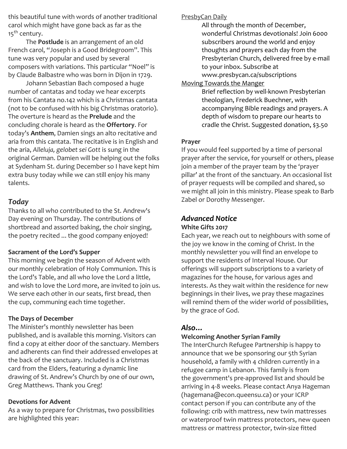this beautiful tune with words of another traditional carol which might have gone back as far as the 15<sup>th</sup> century.

The **Postlude** is an arrangement of an old French carol, "Joseph is a Good Bridegroom". This tune was very popular and used by several composers with variations. This particular "Noel" is by Claude Balbastre who was born in Dijon in 1729.

Johann Sebastian Bach composed a huge number of cantatas and today we hear excerpts from his Cantata no.142 which is a Christmas cantata (not to be confused with his big Christmas oratorio). The overture is heard as the **Prelude** and the concluding chorale is heard as the **Offertory**. For today's **Anthem**, Damien sings an alto recitative and aria from this cantata. The recitative is in English and the aria, *Alleluja, gelobet sei Gott* is sung in the original German. Damien will be helping out the folks at Sydenham St. during December so I have kept him extra busy today while we can still enjoy his many talents.

#### *Today*

Thanks to all who contributed to the St. Andrew's Day evening on Thursday. The contributions of shortbread and assorted baking, the choir singing, the poetry recited ... the good company enjoyed!

#### **Sacrament of the Lord's Supper**

This morning we begin the season of Advent with our monthly celebration of Holy Communion. This is the Lord's Table, and all who love the Lord a little, and wish to love the Lord more, are invited to join us. We serve each other in our seats, first bread, then the cup, communing each time together.

#### **The Days of December**

The Minister's monthly newsletter has been published, and is available this morning. Visitors can find a copy at either door of the sanctuary. Members and adherents can find their addressed envelopes at the back of the sanctuary. Included is a Christmas card from the Elders, featuring a dynamic line drawing of St. Andrew's Church by one of our own, Greg Matthews. Thank you Greg!

#### **Devotions for Advent**

As a way to prepare for Christmas, two possibilities are highlighted this year:

PresbyCan Daily

All through the month of December, wonderful Christmas devotionals! Join 6000 subscribers around the world and enjoy thoughts and prayers each day from the Presbyterian Church, delivered free by e-mail to your inbox. Subscribe at www.presbycan.ca/subscriptions

Moving Towards the Manger

Brief reflection by well-known Presbyterian theologian, Frederick Buechner, with accompanying Bible readings and prayers. A depth of wisdom to prepare our hearts to cradle the Christ. Suggested donation, \$3.50

#### **Prayer**

If you would feel supported by a time of personal prayer after the service, for yourself or others, please join a member of the prayer team by the 'prayer pillar' at the front of the sanctuary. An occasional list of prayer requests will be compiled and shared, so we might all join in this ministry. Please speak to Barb Zabel or Dorothy Messenger.

#### *Advanced Notice* **White Gifts 2017**

Each year, we reach out to neighbours with some of the joy we know in the coming of Christ. In the monthly newsletter you will find an envelope to support the residents of Interval House. Our offerings will support subscriptions to a variety of magazines for the house, for various ages and interests. As they wait within the residence for new beginnings in their lives, we pray these magazines will remind them of the wider world of possibilities, by the grace of God.

#### *Also…*

#### **Welcoming Another Syrian Family**

The InterChurch Refugee Partnership is happy to announce that we be sponsoring our 5th Syrian household, a family with 4 children currently in a refugee camp in Lebanon. This family is from the government's pre-approved list and should be arriving in 4-8 weeks. Please contact Anya Hageman (hagemana@econ.queensu.ca) or your ICRP contact person if you can contribute any of the following: crib with mattress, new twin mattresses or waterproof twin mattress protectors, new queen mattress or mattress protector, twin-size fitted